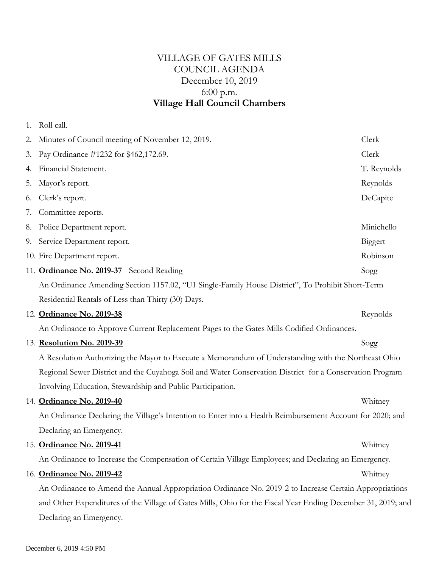# VILLAGE OF GATES MILLS COUNCIL AGENDA December 10, 2019 6:00 p.m. **Village Hall Council Chambers**

| 2. Minutes of Council meeting of November 12, 2019.                                                          | Clerk       |
|--------------------------------------------------------------------------------------------------------------|-------------|
| 3. Pay Ordinance #1232 for \$462,172.69.                                                                     | Clerk       |
| 4. Financial Statement.                                                                                      | T. Reynolds |
| 5. Mayor's report.                                                                                           | Reynolds    |
| 6. Clerk's report.                                                                                           | DeCapite    |
| 7. Committee reports.                                                                                        |             |
| 8. Police Department report.                                                                                 | Minichello  |
| 9. Service Department report.                                                                                | Biggert     |
| 10. Fire Department report.                                                                                  | Robinson    |
| 11. Ordinance No. 2019-37 Second Reading                                                                     | Sogg        |
| An Ordinance Amending Section 1157.02, "U1 Single-Family House District", To Prohibit Short-Term             |             |
| Residential Rentals of Less than Thirty (30) Days.                                                           |             |
| 12. Ordinance No. 2019-38                                                                                    | Reynolds    |
| An Ordinance to Approve Current Replacement Pages to the Gates Mills Codified Ordinances.                    |             |
| 13. Resolution No. 2019-39                                                                                   | Sogg        |
| A Resolution Authorizing the Mayor to Execute a Memorandum of Understanding with the Northeast Ohio          |             |
| Regional Sewer District and the Cuyahoga Soil and Water Conservation District for a Conservation Program     |             |
| Involving Education, Stewardship and Public Participation.                                                   |             |
| 14. Ordinance No. 2019-40                                                                                    | Whitney     |
| An Ordinance Declaring the Village's Intention to Enter into a Health Reimbursement Account for 2020; and    |             |
| Declaring an Emergency.                                                                                      |             |
| 15. Ordinance No. 2019-41                                                                                    | Whitney     |
| An Ordinance to Increase the Compensation of Certain Village Employees; and Declaring an Emergency.          |             |
| 16. Ordinance No. 2019-42                                                                                    | Whitney     |
| An Ordinance to Amend the Annual Appropriation Ordinance No. 2019-2 to Increase Certain Appropriations       |             |
| and Other Expenditures of the Village of Gates Mills, Ohio for the Fiscal Year Ending December 31, 2019; and |             |
| Declaring an Emergency.                                                                                      |             |

1. Roll call.